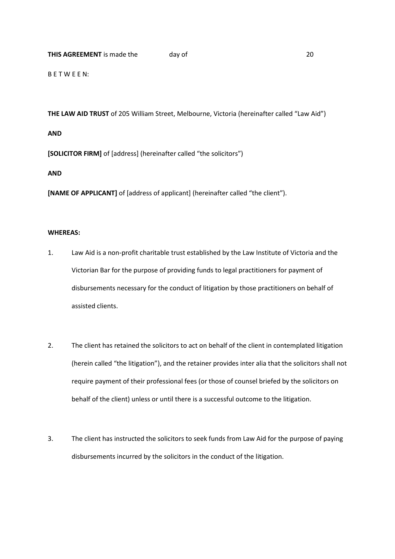## **THIS AGREEMENT** is made the day of 20

B E T W E E N:

**THE LAW AID TRUST** of 205 William Street, Melbourne, Victoria (hereinafter called "Law Aid")

**AND**

**[SOLICITOR FIRM]** of [address] (hereinafter called "the solicitors")

**AND**

**[NAME OF APPLICANT]** of [address of applicant] (hereinafter called "the client").

## **WHEREAS:**

- 1. Law Aid is a non-profit charitable trust established by the Law Institute of Victoria and the Victorian Bar for the purpose of providing funds to legal practitioners for payment of disbursements necessary for the conduct of litigation by those practitioners on behalf of assisted clients.
- 2. The client has retained the solicitors to act on behalf of the client in contemplated litigation (herein called "the litigation"), and the retainer provides inter alia that the solicitors shall not require payment of their professional fees (or those of counsel briefed by the solicitors on behalf of the client) unless or until there is a successful outcome to the litigation.
- 3. The client has instructed the solicitors to seek funds from Law Aid for the purpose of paying disbursements incurred by the solicitors in the conduct of the litigation.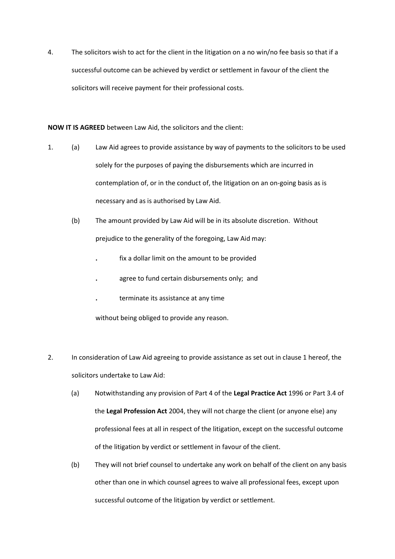4. The solicitors wish to act for the client in the litigation on a no win/no fee basis so that if a successful outcome can be achieved by verdict or settlement in favour of the client the solicitors will receive payment for their professional costs.

**NOW IT IS AGREED** between Law Aid, the solicitors and the client:

- 1. (a) Law Aid agrees to provide assistance by way of payments to the solicitors to be used solely for the purposes of paying the disbursements which are incurred in contemplation of, or in the conduct of, the litigation on an on-going basis as is necessary and as is authorised by Law Aid.
	- (b) The amount provided by Law Aid will be in its absolute discretion. Without prejudice to the generality of the foregoing, Law Aid may:
		- **.** fix a dollar limit on the amount to be provided
		- **.** agree to fund certain disbursements only; and
		- **.** terminate its assistance at any time

without being obliged to provide any reason.

- 2. In consideration of Law Aid agreeing to provide assistance as set out in clause 1 hereof, the solicitors undertake to Law Aid:
	- (a) Notwithstanding any provision of Part 4 of the **Legal Practice Act** 1996 or Part 3.4 of the **Legal Profession Act** 2004, they will not charge the client (or anyone else) any professional fees at all in respect of the litigation, except on the successful outcome of the litigation by verdict or settlement in favour of the client.
	- (b) They will not brief counsel to undertake any work on behalf of the client on any basis other than one in which counsel agrees to waive all professional fees, except upon successful outcome of the litigation by verdict or settlement.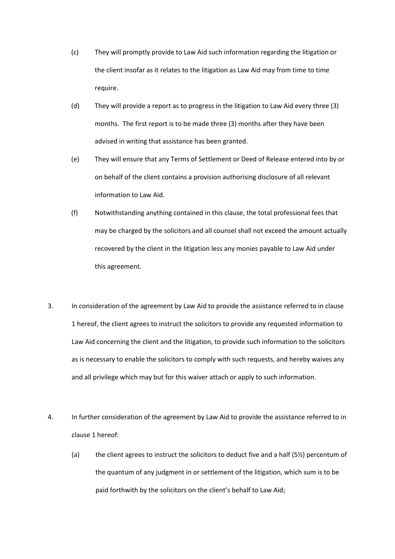- (c) They will promptly provide to Law Aid such information regarding the litigation or the client insofar as it relates to the litigation as Law Aid may from time to time require.
- (d) They will provide a report as to progress in the litigation to Law Aid every three (3) months. The first report is to be made three (3) months after they have been advised in writing that assistance has been granted.
- (e) They will ensure that any Terms of Settlement or Deed of Release entered into by or on behalf of the client contains a provision authorising disclosure of all relevant information to Law Aid.
- (f) Notwithstanding anything contained in this clause, the total professional fees that may be charged by the solicitors and all counsel shall not exceed the amount actually recovered by the client in the litigation less any monies payable to Law Aid under this agreement.
- 3. In consideration of the agreement by Law Aid to provide the assistance referred to in clause 1 hereof, the client agrees to instruct the solicitors to provide any requested information to Law Aid concerning the client and the litigation, to provide such information to the solicitors as is necessary to enable the solicitors to comply with such requests, and hereby waives any and all privilege which may but for this waiver attach or apply to such information.
- 4. In further consideration of the agreement by Law Aid to provide the assistance referred to in clause 1 hereof:
	- (a) the client agrees to instruct the solicitors to deduct five and a half  $(5\frac{1}{2})$  percentum of the quantum of any judgment in or settlement of the litigation, which sum is to be paid forthwith by the solicitors on the client's behalf to Law Aid;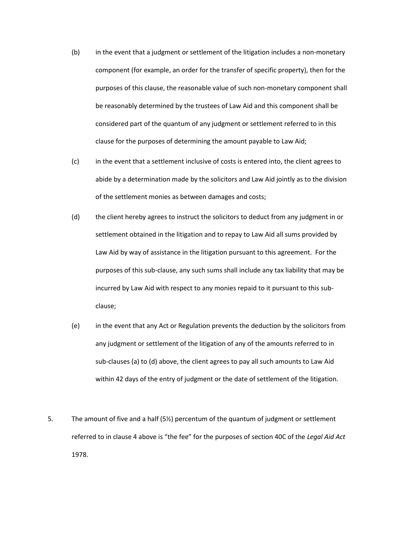- (b) in the event that a judgment or settlement of the litigation includes a non-monetary component (for example, an order for the transfer of specific property), then for the purposes of this clause, the reasonable value of such non-monetary component shall be reasonably determined by the trustees of Law Aid and this component shall be considered part of the quantum of any judgment or settlement referred to in this clause for the purposes of determining the amount payable to Law Aid;
- (c) in the event that a settlement inclusive of costs is entered into, the client agrees to abide by a determination made by the solicitors and Law Aid jointly as to the division of the settlement monies as between damages and costs;
- (d) the client hereby agrees to instruct the solicitors to deduct from any judgment in or settlement obtained in the litigation and to repay to Law Aid all sums provided by Law Aid by way of assistance in the litigation pursuant to this agreement. For the purposes of this sub-clause, any such sums shall include any tax liability that may be incurred by Law Aid with respect to any monies repaid to it pursuant to this subclause;
- (e) in the event that any Act or Regulation prevents the deduction by the solicitors from any judgment or settlement of the litigation of any of the amounts referred to in sub-clauses (a) to (d) above, the client agrees to pay all such amounts to Law Aid within 42 days of the entry of judgment or the date of settlement of the litigation.
- 5. The amount of five and a half (5½) percentum of the quantum of judgment or settlement referred to in clause 4 above is "the fee" for the purposes of section 40C of the *Legal Aid Act* 1978.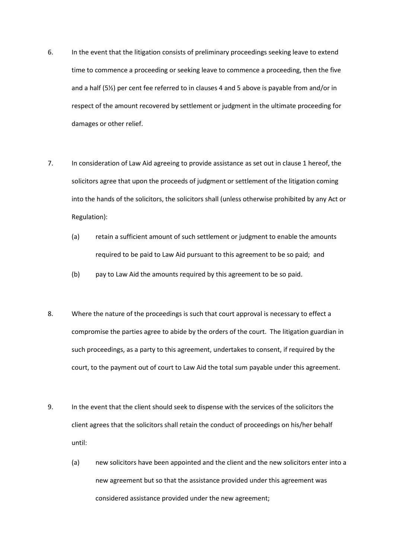- 6. In the event that the litigation consists of preliminary proceedings seeking leave to extend time to commence a proceeding or seeking leave to commence a proceeding, then the five and a half (5½) per cent fee referred to in clauses 4 and 5 above is payable from and/or in respect of the amount recovered by settlement or judgment in the ultimate proceeding for damages or other relief.
- 7. In consideration of Law Aid agreeing to provide assistance as set out in clause 1 hereof, the solicitors agree that upon the proceeds of judgment or settlement of the litigation coming into the hands of the solicitors, the solicitors shall (unless otherwise prohibited by any Act or Regulation):
	- (a) retain a sufficient amount of such settlement or judgment to enable the amounts required to be paid to Law Aid pursuant to this agreement to be so paid; and
	- (b) pay to Law Aid the amounts required by this agreement to be so paid.
- 8. Where the nature of the proceedings is such that court approval is necessary to effect a compromise the parties agree to abide by the orders of the court. The litigation guardian in such proceedings, as a party to this agreement, undertakes to consent, if required by the court, to the payment out of court to Law Aid the total sum payable under this agreement.
- 9. In the event that the client should seek to dispense with the services of the solicitors the client agrees that the solicitors shall retain the conduct of proceedings on his/her behalf until:
	- (a) new solicitors have been appointed and the client and the new solicitors enter into a new agreement but so that the assistance provided under this agreement was considered assistance provided under the new agreement;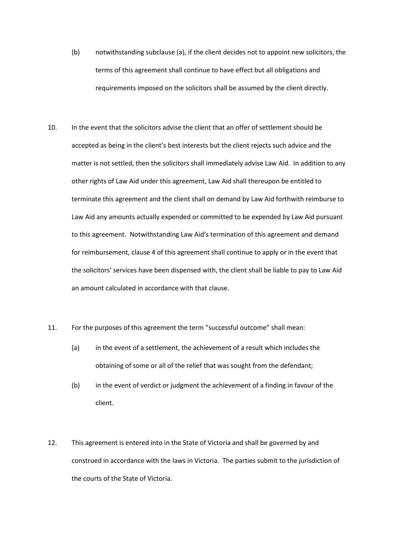- (b) notwithstanding subclause (a), if the client decides not to appoint new solicitors, the terms of this agreement shall continue to have effect but all obligations and requirements imposed on the solicitors shall be assumed by the client directly.
- 10. In the event that the solicitors advise the client that an offer of settlement should be accepted as being in the client's best interests but the client rejects such advice and the matter is not settled, then the solicitors shall immediately advise Law Aid. In addition to any other rights of Law Aid under this agreement, Law Aid shall thereupon be entitled to terminate this agreement and the client shall on demand by Law Aid forthwith reimburse to Law Aid any amounts actually expended or committed to be expended by Law Aid pursuant to this agreement. Notwithstanding Law Aid's termination of this agreement and demand for reimbursement, clause 4 of this agreement shall continue to apply or in the event that the solicitors' services have been dispensed with, the client shall be liable to pay to Law Aid an amount calculated in accordance with that clause.
- 11. For the purposes of this agreement the term "successful outcome" shall mean:
	- (a) in the event of a settlement, the achievement of a result which includes the obtaining of some or all of the relief that was sought from the defendant;
	- (b) in the event of verdict or judgment the achievement of a finding in favour of the client.
- 12. This agreement is entered into in the State of Victoria and shall be governed by and construed in accordance with the laws in Victoria. The parties submit to the jurisdiction of the courts of the State of Victoria.